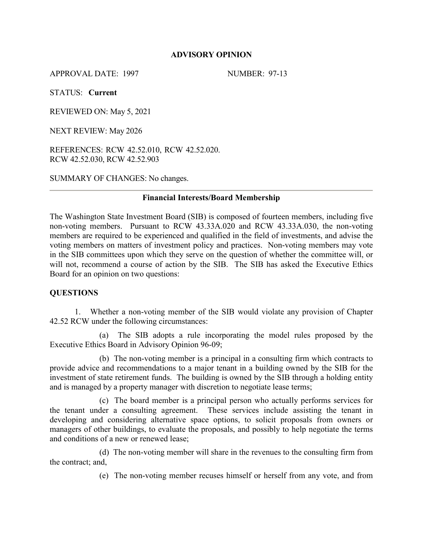## **ADVISORY OPINION**

APPROVAL DATE: 1997 NUMBER: 97-13

STATUS: **Current**

REVIEWED ON: May 5, 2021

NEXT REVIEW: May 2026

REFERENCES: RCW 42.52.010, RCW 42.52.020. RCW 42.52.030, RCW 42.52.903

SUMMARY OF CHANGES: No changes.

#### **Financial Interests/Board Membership**

The Washington State Investment Board (SIB) is composed of fourteen members, including five non-voting members. Pursuant to RCW 43.33A.020 and RCW 43.33A.030, the non-voting members are required to be experienced and qualified in the field of investments, and advise the voting members on matters of investment policy and practices. Non-voting members may vote in the SIB committees upon which they serve on the question of whether the committee will, or will not, recommend a course of action by the SIB. The SIB has asked the Executive Ethics Board for an opinion on two questions:

## **QUESTIONS**

1. Whether a non-voting member of the SIB would violate any provision of Chapter 42.52 RCW under the following circumstances:

(a) The SIB adopts a rule incorporating the model rules proposed by the Executive Ethics Board in Advisory Opinion 96-09;

(b) The non-voting member is a principal in a consulting firm which contracts to provide advice and recommendations to a major tenant in a building owned by the SIB for the investment of state retirement funds. The building is owned by the SIB through a holding entity and is managed by a property manager with discretion to negotiate lease terms;

(c) The board member is a principal person who actually performs services for the tenant under a consulting agreement. These services include assisting the tenant in developing and considering alternative space options, to solicit proposals from owners or managers of other buildings, to evaluate the proposals, and possibly to help negotiate the terms and conditions of a new or renewed lease;

 (d) The non-voting member will share in the revenues to the consulting firm from the contract; and,

(e) The non-voting member recuses himself or herself from any vote, and from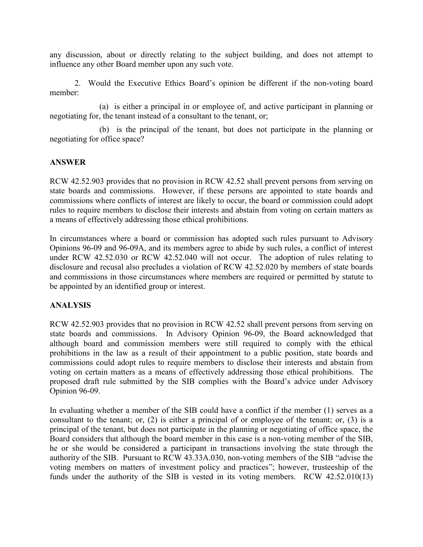any discussion, about or directly relating to the subject building, and does not attempt to influence any other Board member upon any such vote.

2. Would the Executive Ethics Board's opinion be different if the non-voting board member:

(a) is either a principal in or employee of, and active participant in planning or negotiating for, the tenant instead of a consultant to the tenant, or;

(b) is the principal of the tenant, but does not participate in the planning or negotiating for office space?

# **ANSWER**

RCW 42.52.903 provides that no provision in RCW 42.52 shall prevent persons from serving on state boards and commissions. However, if these persons are appointed to state boards and commissions where conflicts of interest are likely to occur, the board or commission could adopt rules to require members to disclose their interests and abstain from voting on certain matters as a means of effectively addressing those ethical prohibitions.

In circumstances where a board or commission has adopted such rules pursuant to Advisory Opinions 96-09 and 96-09A, and its members agree to abide by such rules, a conflict of interest under RCW 42.52.030 or RCW 42.52.040 will not occur. The adoption of rules relating to disclosure and recusal also precludes a violation of RCW 42.52.020 by members of state boards and commissions in those circumstances where members are required or permitted by statute to be appointed by an identified group or interest.

## **ANALYSIS**

RCW 42.52.903 provides that no provision in RCW 42.52 shall prevent persons from serving on state boards and commissions. In Advisory Opinion 96-09, the Board acknowledged that although board and commission members were still required to comply with the ethical prohibitions in the law as a result of their appointment to a public position, state boards and commissions could adopt rules to require members to disclose their interests and abstain from voting on certain matters as a means of effectively addressing those ethical prohibitions. The proposed draft rule submitted by the SIB complies with the Board's advice under Advisory Opinion 96-09.

In evaluating whether a member of the SIB could have a conflict if the member (1) serves as a consultant to the tenant; or, (2) is either a principal of or employee of the tenant; or, (3) is a principal of the tenant, but does not participate in the planning or negotiating of office space, the Board considers that although the board member in this case is a non-voting member of the SIB, he or she would be considered a participant in transactions involving the state through the authority of the SIB. Pursuant to RCW 43.33A.030, non-voting members of the SIB "advise the voting members on matters of investment policy and practices"; however, trusteeship of the funds under the authority of the SIB is vested in its voting members. RCW 42.52.010(13)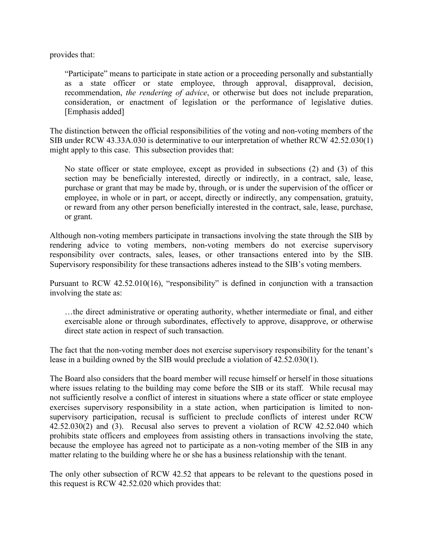provides that:

"Participate" means to participate in state action or a proceeding personally and substantially as a state officer or state employee, through approval, disapproval, decision, recommendation, *the rendering of advice*, or otherwise but does not include preparation, consideration, or enactment of legislation or the performance of legislative duties. [Emphasis added]

The distinction between the official responsibilities of the voting and non-voting members of the SIB under RCW 43.33A.030 is determinative to our interpretation of whether RCW 42.52.030(1) might apply to this case. This subsection provides that:

No state officer or state employee, except as provided in subsections (2) and (3) of this section may be beneficially interested, directly or indirectly, in a contract, sale, lease, purchase or grant that may be made by, through, or is under the supervision of the officer or employee, in whole or in part, or accept, directly or indirectly, any compensation, gratuity, or reward from any other person beneficially interested in the contract, sale, lease, purchase, or grant.

Although non-voting members participate in transactions involving the state through the SIB by rendering advice to voting members, non-voting members do not exercise supervisory responsibility over contracts, sales, leases, or other transactions entered into by the SIB. Supervisory responsibility for these transactions adheres instead to the SIB's voting members.

Pursuant to RCW 42.52.010(16), "responsibility" is defined in conjunction with a transaction involving the state as:

…the direct administrative or operating authority, whether intermediate or final, and either exercisable alone or through subordinates, effectively to approve, disapprove, or otherwise direct state action in respect of such transaction.

The fact that the non-voting member does not exercise supervisory responsibility for the tenant's lease in a building owned by the SIB would preclude a violation of 42.52.030(1).

The Board also considers that the board member will recuse himself or herself in those situations where issues relating to the building may come before the SIB or its staff. While recusal may not sufficiently resolve a conflict of interest in situations where a state officer or state employee exercises supervisory responsibility in a state action, when participation is limited to nonsupervisory participation, recusal is sufficient to preclude conflicts of interest under RCW 42.52.030(2) and (3). Recusal also serves to prevent a violation of RCW 42.52.040 which prohibits state officers and employees from assisting others in transactions involving the state, because the employee has agreed not to participate as a non-voting member of the SIB in any matter relating to the building where he or she has a business relationship with the tenant.

The only other subsection of RCW 42.52 that appears to be relevant to the questions posed in this request is RCW 42.52.020 which provides that: